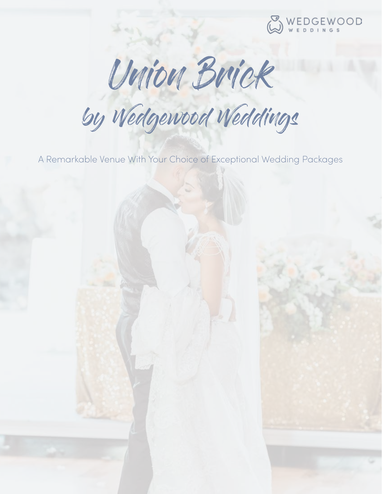

Union Brick

by Wedgewood Weddings

A Remarkable Venue With Your Choice of Exceptional Wedding Packages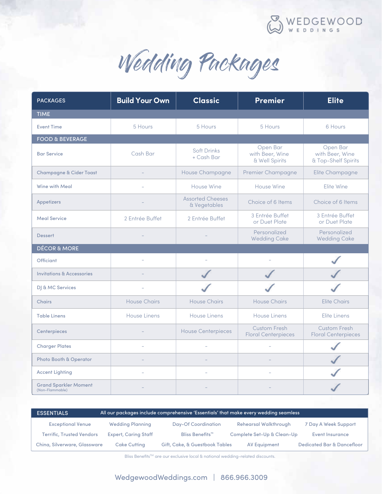

Wedding Packages

| <b>PACKAGES</b>                      | <b>Build Your Own</b> | <b>Classic</b>                          | <b>Premier</b>                                | <b>Elite</b>                                       |  |  |
|--------------------------------------|-----------------------|-----------------------------------------|-----------------------------------------------|----------------------------------------------------|--|--|
| <b>TIME</b>                          |                       |                                         |                                               |                                                    |  |  |
| <b>Event Time</b>                    | 5 Hours               | 5 Hours                                 | 5 Hours                                       | 6 Hours                                            |  |  |
| <b>FOOD &amp; BEVERAGE</b>           |                       |                                         |                                               |                                                    |  |  |
| <b>Bar Service</b>                   | Cash Bar              | <b>Soft Drinks</b><br>+ Cash Bar        | Open Bar<br>with Beer, Wine<br>& Well Spirits | Open Bar<br>with Beer, Wine<br>& Top-Shelf Spirits |  |  |
| <b>Champagne &amp; Cider Toast</b>   |                       | House Champagne                         | Premier Champagne                             | Elite Champagne                                    |  |  |
| Wine with Meal                       |                       | House Wine                              | House Wine                                    | Elite Wine                                         |  |  |
| <b>Appetizers</b>                    |                       | <b>Assorted Cheeses</b><br>& Vegetables | Choice of 6 Items                             | Choice of 6 Items                                  |  |  |
| <b>Meal Service</b>                  | 2 Entrée Buffet       | 2 Entrée Buffet                         | 3 Entrée Buffet<br>or Duet Plate              | 3 Entrée Buffet<br>or Duet Plate                   |  |  |
| <b>Dessert</b>                       |                       |                                         | Personalized<br><b>Wedding Cake</b>           | Personalized<br><b>Wedding Cake</b>                |  |  |
| <b>DÉCOR &amp; MORE</b>              |                       |                                         |                                               |                                                    |  |  |
| <b>Officiant</b>                     |                       |                                         |                                               |                                                    |  |  |
|                                      |                       |                                         |                                               |                                                    |  |  |
| <b>Invitations &amp; Accessories</b> |                       |                                         |                                               |                                                    |  |  |
| DJ & MC Services                     |                       |                                         |                                               |                                                    |  |  |
| <b>Chairs</b>                        | <b>House Chairs</b>   | <b>House Chairs</b>                     | <b>House Chairs</b>                           | <b>Elite Chairs</b>                                |  |  |
| <b>Table Linens</b>                  | <b>House Linens</b>   | <b>House Linens</b>                     | <b>House Linens</b>                           | Elite Linens                                       |  |  |
| Centerpieces                         |                       | <b>House Centerpieces</b>               | Custom Fresh<br><b>Floral Centerpieces</b>    | Custom Fresh<br><b>Floral Centerpieces</b>         |  |  |
| <b>Charger Plates</b>                |                       | L.                                      |                                               |                                                    |  |  |
| Photo Booth & Operator               |                       |                                         |                                               |                                                    |  |  |
| <b>Accent Lighting</b>               |                       |                                         |                                               |                                                    |  |  |

| <b>ESSENTIALS</b>                | All our packages include comprehensive 'Essentials' that make every wedding seamless |                                |                              |                                       |
|----------------------------------|--------------------------------------------------------------------------------------|--------------------------------|------------------------------|---------------------------------------|
| <b>Exceptional Venue</b>         | <b>Wedding Planning</b>                                                              | <b>Day-Of Coordination</b>     | <b>Rehearsal Walkthrough</b> | 7 Day A Week Support                  |
| <b>Terrific. Trusted Vendors</b> | <b>Expert, Caring Staff</b>                                                          | Bliss Benefits <sup>™</sup>    | Complete Set-Up & Clean-Up   | Event Insurance                       |
| China, Silverware, Glassware     | <b>Cake Cutting</b>                                                                  | Gift, Cake, & Guestbook Tables | AV Equipment                 | <b>Dedicated Bar &amp; Dancefloor</b> |

Bliss Benefits™ are our exclusive local & national wedding-related discounts.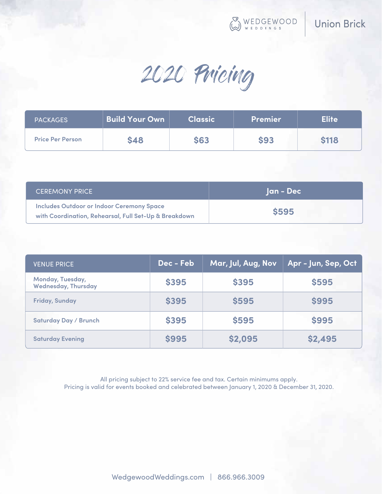WEDGEWOOD

2020 Pricing

| <b>PACKAGES</b>         | <b>Build Your Own</b> | <b>Classic</b> | <b>Premier</b> | <b>Elite</b> |
|-------------------------|-----------------------|----------------|----------------|--------------|
| <b>Price Per Person</b> | <b>\$48</b>           | <b>\$63</b>    | <b>\$93</b>    | <b>\$118</b> |

| <b>CEREMONY PRICE</b>                                                                                     | Jan - Dec    |
|-----------------------------------------------------------------------------------------------------------|--------------|
| <b>Includes Outdoor or Indoor Ceremony Space</b><br>with Coordination, Rehearsal, Full Set-Up & Breakdown | <b>\$595</b> |

| <b>VENUE PRICE</b>                             | Dec - Feb    | Mar, Jul, Aug, Nov | Apr - Jun, Sep, Oct |
|------------------------------------------------|--------------|--------------------|---------------------|
| Monday, Tuesday,<br><b>Wednesday, Thursday</b> | <b>\$395</b> | \$395              | \$595               |
| <b>Friday, Sunday</b>                          | <b>\$395</b> | <b>\$595</b>       | <b>\$995</b>        |
| <b>Saturday Day / Brunch</b>                   | <b>\$395</b> | \$595              | <b>\$995</b>        |
| <b>Saturday Evening</b>                        | <b>\$995</b> | \$2,095            | \$2,495             |

All pricing subject to 22% service fee and tax. Certain minimums apply. Pricing is valid for events booked and celebrated between January 1, 2020 & December 31, 2020.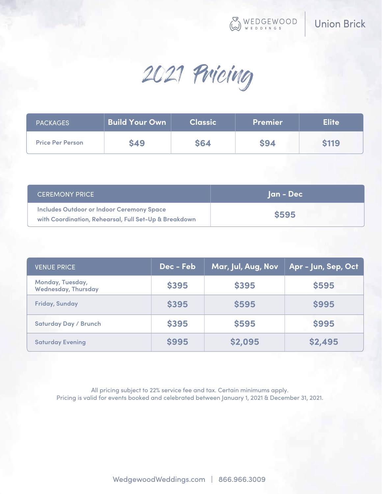WEDGEWOOD

2021 Pricing

| <b>PACKAGES</b>         | <b>Build Your Own</b> | <b>Classic</b> | <b>Premier</b> | <b>Elite</b> |
|-------------------------|-----------------------|----------------|----------------|--------------|
| <b>Price Per Person</b> | <b>\$49</b>           | <b>\$64</b>    | <b>\$94</b>    | <b>\$119</b> |

| <b>CEREMONY PRICE</b>                                                                                     | Jan - Dec    |
|-----------------------------------------------------------------------------------------------------------|--------------|
| <b>Includes Outdoor or Indoor Ceremony Space</b><br>with Coordination, Rehearsal, Full Set-Up & Breakdown | <b>\$595</b> |

| <b>VENUE PRICE</b>                             | Dec - Feb    | Mar, Jul, Aug, Nov | Apr - Jun, Sep, Oct |
|------------------------------------------------|--------------|--------------------|---------------------|
| Monday, Tuesday,<br><b>Wednesday, Thursday</b> | <b>\$395</b> | <b>\$395</b>       | <b>\$595</b>        |
| <b>Friday, Sunday</b>                          | <b>\$395</b> | <b>\$595</b>       | <b>\$995</b>        |
| <b>Saturday Day / Brunch</b>                   | <b>\$395</b> | \$595              | \$995               |
| <b>Saturday Evening</b>                        | <b>\$995</b> | \$2,095            | \$2,495             |

All pricing subject to 22% service fee and tax. Certain minimums apply. Pricing is valid for events booked and celebrated between January 1, 2021 & December 31, 2021.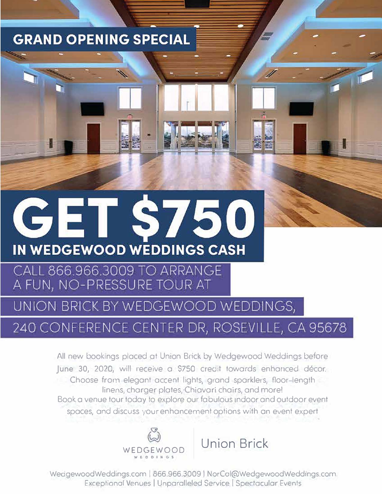### **GRAND OPENING SPECIAL**

- -



#### CALL 866.966.3009 TO ARRANGE A FUN, NO-PRESSURE TOUR AT

UNION BRICK BY WEDGEWOOD WEDDINGS,

#### 240 CONFERENCE CENTER DR, ROSEVILLE, CA 95678

**All new bookings placed at Union Brick by Wedgewood Weddings before**  June 30, **2020, will receive o \$750 credit towards enhanced decor.** Choose from elegant accent lights, grand sparklers, floor-length **linens, charger plates, Chiavari chairs, and more!** Book a venue tour today to explore our fabulous indoor and outdoor event **spaces, and discuss your enhancement options with on event expert** 



WedgewoodWeddings.com | 866.966.3009 | NorCal@WedgewoodWeddings.com Exceptionol Venues I Unparalleled Service I Spectacular Events